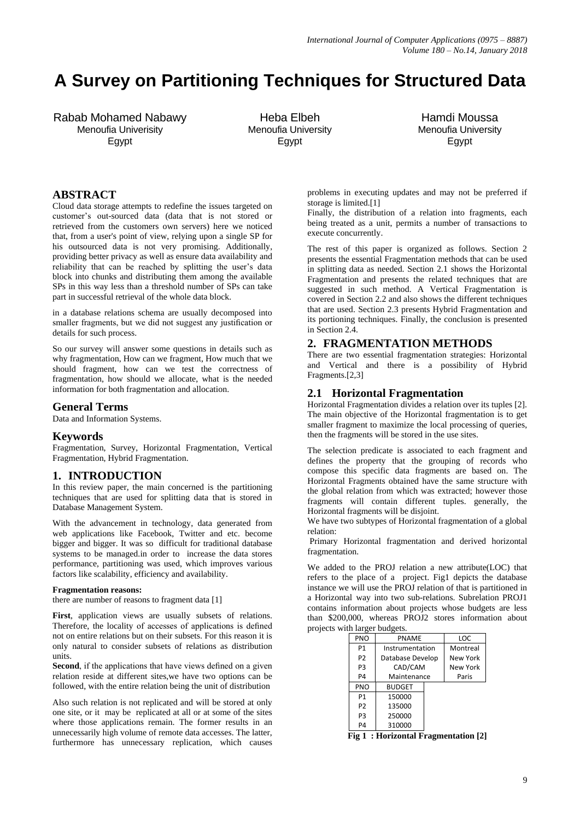# **A Survey on Partitioning Techniques for Structured Data**

Rabab Mohamed Nabawy Menoufia Univerisity Egypt

Heba Elbeh Menoufia University Egypt

Hamdi Moussa Menoufia University Egypt

# **ABSTRACT**

Cloud data storage attempts to redefine the issues targeted on customer's out-sourced data (data that is not stored or retrieved from the customers own servers) here we noticed that, from a user's point of view, relying upon a single SP for his outsourced data is not very promising. Additionally, providing better privacy as well as ensure data availability and reliability that can be reached by splitting the user's data block into chunks and distributing them among the available SPs in this way less than a threshold number of SPs can take part in successful retrieval of the whole data block.

in a database relations schema are usually decomposed into smaller fragments, but we did not suggest any justification or details for such process.

So our survey will answer some questions in details such as why fragmentation, How can we fragment, How much that we should fragment, how can we test the correctness of fragmentation, how should we allocate, what is the needed information for both fragmentation and allocation.

# **General Terms**

Data and Information Systems.

# **Keywords**

Fragmentation, Survey, Horizontal Fragmentation, Vertical Fragmentation, Hybrid Fragmentation.

# **1. INTRODUCTION**

In this review paper, the main concerned is the partitioning techniques that are used for splitting data that is stored in Database Management System.

With the advancement in technology, data generated from web applications like Facebook, Twitter and etc. become bigger and bigger. It was so difficult for traditional database systems to be managed.in order to increase the data stores performance, partitioning was used, which improves various factors like scalability, efficiency and availability.

#### **Fragmentation reasons:**

there are number of reasons to fragment data [1]

First, application views are usually subsets of relations. Therefore, the locality of accesses of applications is defined not on entire relations but on their subsets. For this reason it is only natural to consider subsets of relations as distribution units.

**Second**, if the applications that have views defined on a given relation reside at different sites,we have two options can be followed, with the entire relation being the unit of distribution

Also such relation is not replicated and will be stored at only one site, or it may be replicated at all or at some of the sites where those applications remain. The former results in an unnecessarily high volume of remote data accesses. The latter, furthermore has unnecessary replication, which causes problems in executing updates and may not be preferred if storage is limited.[1]

Finally, the distribution of a relation into fragments, each being treated as a unit, permits a number of transactions to execute concurrently.

The rest of this paper is organized as follows. Section 2 presents the essential Fragmentation methods that can be used in splitting data as needed. Section 2.1 shows the Horizontal Fragmentation and presents the related techniques that are suggested in such method. A Vertical Fragmentation is covered in Section 2.2 and also shows the different techniques that are used. Section 2.3 presents Hybrid Fragmentation and its portioning techniques. Finally, the conclusion is presented in Section 2.4.

# **2. FRAGMENTATION METHODS**

There are two essential fragmentation strategies: Horizontal and Vertical and there is a possibility of Hybrid Fragments.[2,3]

# **2.1 Horizontal Fragmentation**

Horizontal Fragmentation divides a relation over its tuples [2]. The main objective of the Horizontal fragmentation is to get smaller fragment to maximize the local processing of queries, then the fragments will be stored in the use sites.

The selection predicate is associated to each fragment and defines the property that the grouping of records who compose this specific data fragments are based on. The Horizontal Fragments obtained have the same structure with the global relation from which was extracted; however those fragments will contain different tuples. generally, the Horizontal fragments will be disjoint.

We have two subtypes of Horizontal fragmentation of a global relation:

Primary Horizontal fragmentation and derived horizontal fragmentation.

We added to the PROJ relation a new attribute(LOC) that refers to the place of a project. Fig1 depicts the database instance we will use the PROJ relation of that is partitioned in a Horizontal way into two sub-relations. Subrelation PROJ1 contains information about projects whose budgets are less than \$200,000, whereas PROJ2 stores information about projects with larger budgets.

| <b>PNO</b>     | <b>PNAMF</b>     | LOC      |  |
|----------------|------------------|----------|--|
| P1             | Instrumentation  | Montreal |  |
| P <sub>2</sub> | Database Develop | New York |  |
| P <sub>3</sub> | CAD/CAM          | New York |  |
| P <sub>4</sub> | Maintenance      | Paris    |  |
| <b>PNO</b>     | <b>BUDGET</b>    |          |  |
| P <sub>1</sub> | 150000           |          |  |
| P2             | 135000           |          |  |
| P <sub>3</sub> | 250000           |          |  |
| P4             | 310000           |          |  |

**Fig 1 : Horizontal Fragmentation [2]**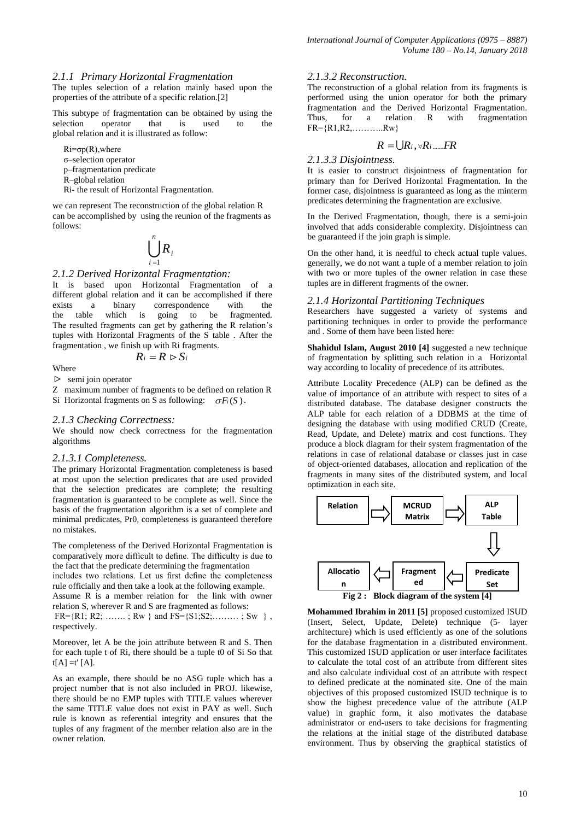#### *2.1.1 Primary Horizontal Fragmentation*

The tuples selection of a relation mainly based upon the properties of the attribute of a specific relation.[2]

This subtype of fragmentation can be obtained by using the selection operator that is used to the global relation and it is illustrated as follow:

 $Ri = \sigma p(R)$ , where σ–selection operator p–fragmentation predicate R–global relation Ri- the result of Horizontal Fragmentation.

we can represent The reconstruction of the global relation R can be accomplished by using the reunion of the fragments as follows:

$$
\bigcup_{i=1}^n R_i
$$

# *2.1.2 Derived Horizontal Fragmentation:*

It is based upon Horizontal Fragmentation of a different global relation and it can be accomplished if there exists a binary correspondence with the the table which is going to be fragmented. The resulted fragments can get by gathering the R relation's tuples with Horizontal Fragments of the S table . After the fragmentation , we finish up with Ri fragments.

Where

$$
R_i = R \triangleright S_i
$$

 $\triangleright$  semi join operator

Z maximum number of fragments to be defined on relation R

Si Horizontal fragments on S as following:  $\sigma F_i(S)$ .

#### *2.1.3 Checking Correctness:*

We should now check correctness for the fragmentation algorithms

#### *2.1.3.1 Completeness.*

The primary Horizontal Fragmentation completeness is based at most upon the selection predicates that are used provided that the selection predicates are complete; the resulting fragmentation is guaranteed to be complete as well. Since the basis of the fragmentation algorithm is a set of complete and minimal predicates, Pr0, completeness is guaranteed therefore no mistakes.

The completeness of the Derived Horizontal Fragmentation is comparatively more difficult to define. The difficulty is due to the fact that the predicate determining the fragmentation

includes two relations. Let us first define the completeness rule officially and then take a look at the following example.

Assume R is a member relation for the link with owner relation S, wherever R and S are fragmented as follows:

 $FR = {R1; R2; \dots, RW}$  and  $FS = {S1; S2; \dots, SW}$ , respectively.

Moreover, let A be the join attribute between R and S. Then for each tuple t of Ri, there should be a tuple t0 of Si So that  $t[A] = t' [A].$ 

As an example, there should be no ASG tuple which has a project number that is not also included in PROJ. likewise, there should be no EMP tuples with TITLE values wherever the same TITLE value does not exist in PAY as well. Such rule is known as referential integrity and ensures that the tuples of any fragment of the member relation also are in the owner relation.

# *2.1.3.2 Reconstruction.*

The reconstruction of a global relation from its fragments is performed using the union operator for both the primary fragmentation and the Derived Horizontal Fragmentation. Thus, for a relation R with fragmentation  $FR = \{R1, R2, \ldots, RW\}$ 

$$
R=\bigcup R_i,\forall R_i \dots FR
$$

#### *2.1.3.3 Disjointness.*

It is easier to construct disjointness of fragmentation for primary than for Derived Horizontal Fragmentation. In the former case, disjointness is guaranteed as long as the minterm predicates determining the fragmentation are exclusive.

In the Derived Fragmentation, though, there is a semi-join involved that adds considerable complexity. Disjointness can be guaranteed if the join graph is simple.

On the other hand, it is needful to check actual tuple values. generally, we do not want a tuple of a member relation to join with two or more tuples of the owner relation in case these tuples are in different fragments of the owner.

#### *2.1.4 Horizontal Partitioning Techniques*

Researchers have suggested a variety of systems and partitioning techniques in order to provide the performance and . Some of them have been listed here:

**Shahidul Islam, August 2010 [4]** suggested a new technique of fragmentation by splitting such relation in a Horizontal way according to locality of precedence of its attributes.

Attribute Locality Precedence (ALP) can be defined as the value of importance of an attribute with respect to sites of a distributed database. The database designer constructs the ALP table for each relation of a DDBMS at the time of designing the database with using modified CRUD (Create, Read, Update, and Delete) matrix and cost functions. They produce a block diagram for their system fragmentation of the relations in case of relational database or classes just in case of object-oriented databases, allocation and replication of the fragments in many sites of the distributed system, and local optimization in each site.



**Mohammed Ibrahim in 2011 [5]** proposed customized ISUD (Insert, Select, Update, Delete) technique (5- layer architecture) which is used efficiently as one of the solutions for the database fragmentation in a distributed environment. This customized ISUD application or user interface facilitates to calculate the total cost of an attribute from different sites and also calculate individual cost of an attribute with respect to defined predicate at the nominated site. One of the main objectives of this proposed customized ISUD technique is to show the highest precedence value of the attribute (ALP value) in graphic form, it also motivates the database administrator or end-users to take decisions for fragmenting the relations at the initial stage of the distributed database environment. Thus by observing the graphical statistics of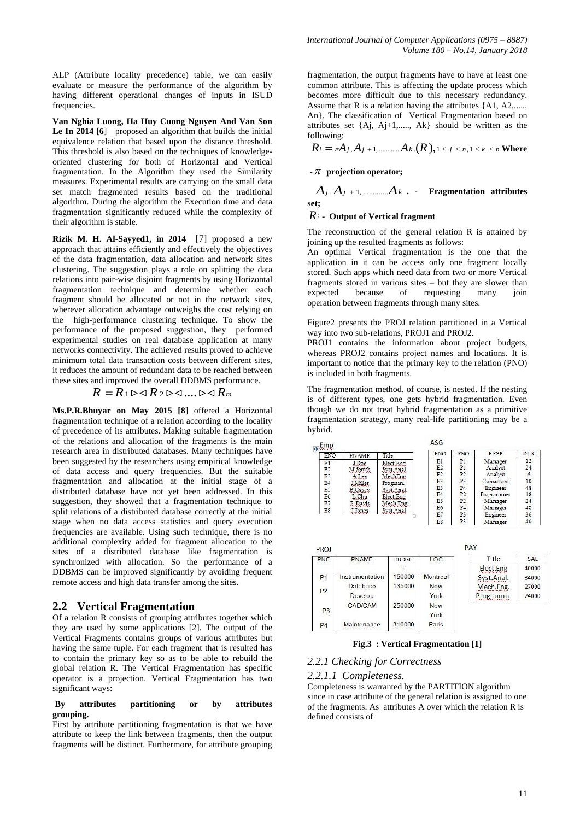ALP (Attribute locality precedence) table, we can easily evaluate or measure the performance of the algorithm by having different operational changes of inputs in ISUD frequencies.

**Van Nghia Luong, Ha Huy Cuong Nguyen And Van Son**  Le In 2014 [6] proposed an algorithm that builds the initial equivalence relation that based upon the distance threshold. This threshold is also based on the techniques of knowledgeoriented clustering for both of Horizontal and Vertical fragmentation. In the Algorithm they used the Similarity measures. Experimental results are carrying on the small data set match fragmented results based on the traditional algorithm. During the algorithm the Execution time and data fragmentation significantly reduced while the complexity of their algorithm is stable.

**Rizik M. H. Al-Sayyed1, in 2014** [7] proposed a new approach that attains efficiently and effectively the objectives of the data fragmentation, data allocation and network sites clustering. The suggestion plays a role on splitting the data relations into pair-wise disjoint fragments by using Horizontal fragmentation technique and determine whether each fragment should be allocated or not in the network sites, wherever allocation advantage outweighs the cost relying on the high-performance clustering technique. To show the performance of the proposed suggestion, they performed experimental studies on real database application at many networks connectivity. The achieved results proved to achieve minimum total data transaction costs between different sites, it reduces the amount of redundant data to be reached between these sites and improved the overall DDBMS performance.<br> $R = R_1 \triangleright \lhd R_2 \triangleright \lhd \ldots \lhd \lhd R_m$ 

$$
R = R_1 \triangleright \triangleleft R_2 \triangleright \triangleleft .... \triangleright \triangleleft R_m
$$

**Ms.P.R.Bhuyar on May 2015 [8**] offered a Horizontal fragmentation technique of a relation according to the locality of precedence of its attributes. Making suitable fragmentation of the relations and allocation of the fragments is the main research area in distributed databases. Many techniques have been suggested by the researchers using empirical knowledge of data access and query frequencies. But the suitable fragmentation and allocation at the initial stage of a distributed database have not yet been addressed. In this suggestion, they showed that a fragmentation technique to split relations of a distributed database correctly at the initial stage when no data access statistics and query execution frequencies are available. Using such technique, there is no additional complexity added for fragment allocation to the sites of a distributed database like fragmentation is synchronized with allocation. So the performance of a DDBMS can be improved significantly by avoiding frequent remote access and high data transfer among the sites.

# **2.2 Vertical Fragmentation**

Of a relation R consists of grouping attributes together which they are used by some applications [2]. The output of the Vertical Fragments contains groups of various attributes but having the same tuple. For each fragment that is resulted has to contain the primary key so as to be able to rebuild the global relation R. The Vertical Fragmentation has specific operator is a projection. Vertical Fragmentation has two significant ways:

#### **By attributes partitioning or by attributes grouping.**

First by attribute partitioning fragmentation is that we have attribute to keep the link between fragments, then the output fragments will be distinct. Furthermore, for attribute grouping fragmentation, the output fragments have to have at least one common attribute. This is affecting the update process which becomes more difficult due to this necessary redundancy. Assume that R is a relation having the attributes {A1, A2,...... An}. The classification of Vertical Fragmentation based on attributes set {Aj, Aj+1,....., Ak} should be written as the *R A A A R i j j k j n k n* , 1, ............. . 1 , 1 ( ), following:

$$
R_i = \pi A_j, A_{j+1, \dots, m} A_k . (R), 1 \leq j \leq n, 1 \leq k \leq n \text{ Where}
$$

#### **- projection operator;**

*A A A j j k* , 1, ............. **. - Fragmentation attributes set;**

$$
R_i
$$
 - Output of Vertical fragment

The reconstruction of the general relation R is attained by joining up the resulted fragments as follows:

An optimal Vertical fragmentation is the one that the application in it can be access only one fragment locally stored. Such apps which need data from two or more Vertical fragments stored in various sites – but they are slower than<br>expected because of requesting many join expected because of requesting many join operation between fragments through many sites.

Figure2 presents the PROJ relation partitioned in a Vertical way into two sub-relations, PROJ1 and PROJ2.

PROJ1 contains the information about project budgets, whereas PROJ2 contains project names and locations. It is important to notice that the primary key to the relation (PNO) is included in both fragments.

The fragmentation method, of course, is nested. If the nesting is of different types, one gets hybrid fragmentation. Even though we do not treat hybrid fragmentation as a primitive fragmentation strategy, many real-life partitioning may be a hybrid.

| Emp<br><b>ENO</b> | <b>ENAME</b>    | Title      | <b>ENO</b>     | PNO            | <b>RESP</b> | <b>DUR</b> |
|-------------------|-----------------|------------|----------------|----------------|-------------|------------|
| E1                | J Doe           | Elect.Eng  | E1             | P1             | Manager     | 12         |
| E2                | M.Smith         | Syst.Anal. | E <sub>2</sub> | P <sub>1</sub> | Analyst     | 24         |
| E <sub>3</sub>    | A.Lee           | MechEng    | E2             | P <sub>2</sub> | Analyst     | 6          |
| E <sub>4</sub>    | <b>J</b> Miller | Program.   | E <sub>3</sub> | P <sub>3</sub> | Consultant  | 10         |
| E <sub>5</sub>    | <b>B</b> .Casey | Syst.Anal. | E <sub>3</sub> | P <sub>4</sub> | Engineer    | 48         |
| E <sub>6</sub>    | L Chu           | Elect.Eng  | E4             | P <sub>2</sub> | Programmer  | 18         |
| E7                | R. Davis        | Mech.Eng.  | E5             | P2             | Manager     | 24         |
| E8                |                 |            | E6             | <b>P4</b>      | Manager     | 48         |
|                   | <b>Jones</b>    | Syst.Anal  | E7             | P <sub>3</sub> | Engineer    | 36         |
|                   |                 |            | E8             | P <sub>3</sub> | Manager     | 40         |

| PNO            | PNAME           | <b>BUDGE</b> | LOC        | Title      | SAL   |
|----------------|-----------------|--------------|------------|------------|-------|
|                |                 |              |            | Elect.Eng  | 40000 |
| P <sub>1</sub> | Instrumentation | 150000       | Montreal   | Syst.Anal. | 34000 |
| P <sub>2</sub> | Database        | 135000       | <b>New</b> | Mech.Eng.  | 27000 |
|                | Develop         |              | York       | Programm.  | 24000 |
|                | <b>CAD/CAM</b>  | 250000       | New        |            |       |
| P3             |                 |              | York       |            |       |
| P <sub>4</sub> | Maintenance     | 310000       | Paris      |            |       |

**Fig.3 : Vertical Fragmentation [1]**

# *2.2.1 Checking for Correctness*

#### *2.2.1.1 Completeness.*

Completeness is warranted by the PARTITION algorithm since in case attribute of the general relation is assigned to one of the fragments. As attributes A over which the relation R is defined consists of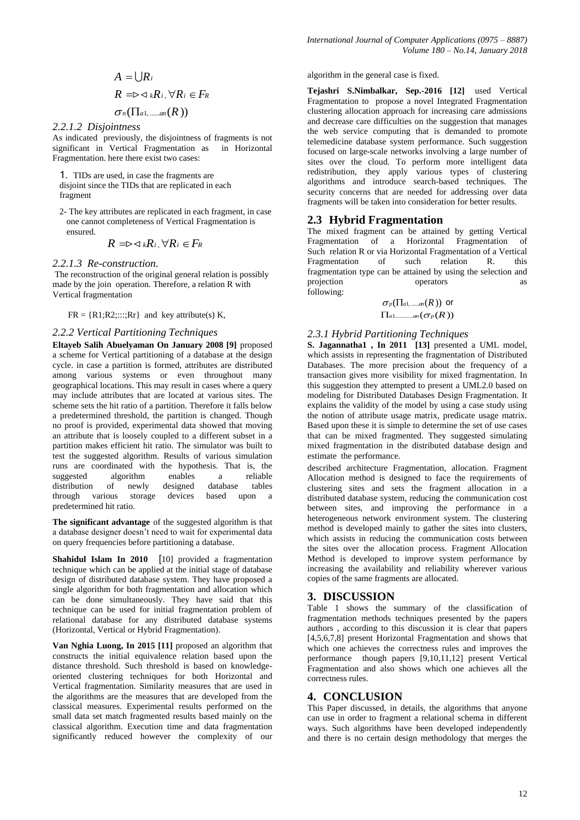$$
A = \bigcup R_i
$$
  
\n
$$
R = \triangleright \triangleleft_k R_i, \forall R_i \in F_R
$$
  
\n
$$
\sigma_n(\Pi_{a1, \dots, a_n}(R))
$$

*2.2.1.2 Disjointness*

As indicated previously, the disjointness of fragments is not significant in Vertical Fragmentation as in Horizontal Fragmentation. here there exist two cases:

1. TIDs are used, in case the fragments are disjoint since the TIDs that are replicated in each fragment

2- The key attributes are replicated in each fragment, in case one cannot completeness of Vertical Fragmentation is ensured.

$$
R = \Rightarrow \langle kR_i, \forall R_i \in F_R
$$

*2.2.1.3 Re-construction.*

The reconstruction of the original general relation is possibly made by the join operation. Therefore, a relation R with Vertical fragmentation

 $FR = \{R1; R2; \dots; Rr\}$  and key attribute(s) K,

#### *2.2.2 Vertical Partitioning Techniques*

**Eltayeb Salih Abuelyaman On January 2008 [9]** proposed a scheme for Vertical partitioning of a database at the design cycle. in case a partition is formed, attributes are distributed among various systems or even throughout many geographical locations. This may result in cases where a query may include attributes that are located at various sites. The scheme sets the hit ratio of a partition. Therefore it falls below a predetermined threshold, the partition is changed. Though no proof is provided, experimental data showed that moving an attribute that is loosely coupled to a different subset in a partition makes efficient hit ratio. The simulator was built to test the suggested algorithm. Results of various simulation runs are coordinated with the hypothesis. That is, the suggested algorithm enables a reliable distribution of newly designed database tables through various storage devices based upon a predetermined hit ratio.

**The significant advantage** of the suggested algorithm is that a database designer doesn't need to wait for experimental data on query frequencies before partitioning a database.

**Shahidul Islam In 2010** [10] provided a fragmentation technique which can be applied at the initial stage of database design of distributed database system. They have proposed a single algorithm for both fragmentation and allocation which can be done simultaneously. They have said that this technique can be used for initial fragmentation problem of relational database for any distributed database systems (Horizontal, Vertical or Hybrid Fragmentation).

**Van Nghia Luong, In 2015 [11]** proposed an algorithm that constructs the initial equivalence relation based upon the distance threshold. Such threshold is based on knowledgeoriented clustering techniques for both Horizontal and Vertical fragmentation. Similarity measures that are used in the algorithms are the measures that are developed from the classical measures. Experimental results performed on the small data set match fragmented results based mainly on the classical algorithm. Execution time and data fragmentation significantly reduced however the complexity of our

algorithm in the general case is fixed.

**Tejashri S.Nimbalkar, Sep.-2016 [12]** used Vertical Fragmentation to propose a novel Integrated Fragmentation clustering allocation approach for increasing care admissions and decrease care difficulties on the suggestion that manages the web service computing that is demanded to promote telemedicine database system performance. Such suggestion focused on large-scale networks involving a large number of sites over the cloud. To perform more intelligent data redistribution, they apply various types of clustering algorithms and introduce search-based techniques. The security concerns that are needed for addressing over data fragments will be taken into consideration for better results.

#### **2.3 Hybrid Fragmentation**

The mixed fragment can be attained by getting Vertical Fragmentation of a Horizontal Fragmentation of Such relation R or via Horizontal Fragmentation of a Vertical Fragmentation of such relation R. this fragmentation type can be attained by using the selection and projection operators as following:

$$
\sigma_p(\Pi_{a1,\dots,an}(R)) \text{ or } \\\Pi_{a1,\dots,\dots,an}(\sigma_p(R))
$$

#### *2.3.1 Hybrid Partitioning Techniques*

**S. Jagannatha1 , In 2011 [13]** presented a UML model, which assists in representing the fragmentation of Distributed Databases. The more precision about the frequency of a transaction gives more visibility for mixed fragmentation. In this suggestion they attempted to present a UML2.0 based on modeling for Distributed Databases Design Fragmentation. It explains the validity of the model by using a case study using the notion of attribute usage matrix, predicate usage matrix. Based upon these it is simple to determine the set of use cases that can be mixed fragmented. They suggested simulating mixed fragmentation in the distributed database design and estimate the performance.

described architecture Fragmentation, allocation. Fragment Allocation method is designed to face the requirements of clustering sites and sets the fragment allocation in a distributed database system, reducing the communication cost between sites, and improving the performance in a heterogeneous network environment system. The clustering method is developed mainly to gather the sites into clusters, which assists in reducing the communication costs between the sites over the allocation process. Fragment Allocation Method is developed to improve system performance by increasing the availability and reliability wherever various copies of the same fragments are allocated.

#### **3. DISCUSSION**

Table 1 shows the summary of the classification of fragmentation methods techniques presented by the papers authors , according to this discussion it is clear that papers [4,5,6,7,8] present Horizontal Fragmentation and shows that which one achieves the correctness rules and improves the performance though papers [9,10,11,12] present Vertical Fragmentation and also shows which one achieves all the correctness rules.

# **4. CONCLUSION**

This Paper discussed, in details, the algorithms that anyone can use in order to fragment a relational schema in different ways. Such algorithms have been developed independently and there is no certain design methodology that merges the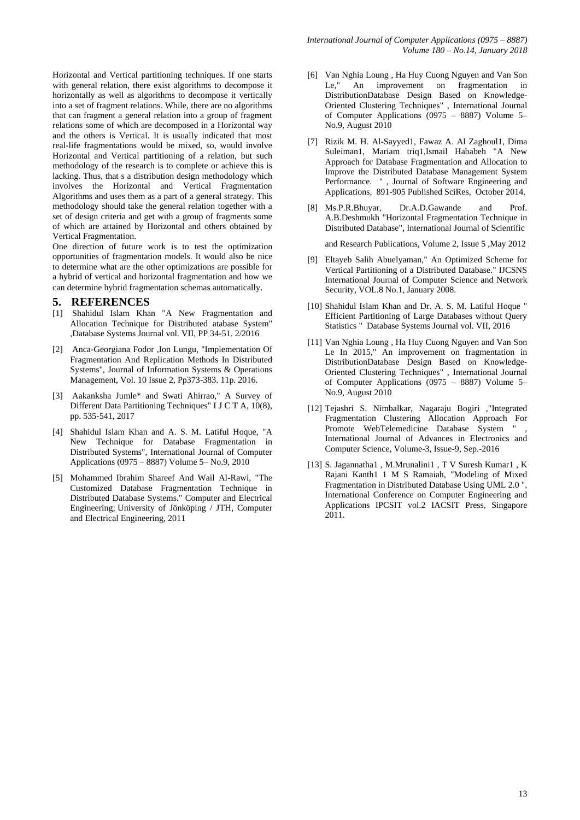Horizontal and Vertical partitioning techniques. If one starts with general relation, there exist algorithms to decompose it horizontally as well as algorithms to decompose it vertically into a set of fragment relations. While, there are no algorithms that can fragment a general relation into a group of fragment relations some of which are decomposed in a Horizontal way and the others is Vertical. It is usually indicated that most real-life fragmentations would be mixed, so, would involve Horizontal and Vertical partitioning of a relation, but such methodology of the research is to complete or achieve this is lacking. Thus, that s a distribution design methodology which involves the Horizontal and Vertical Fragmentation Algorithms and uses them as a part of a general strategy. This methodology should take the general relation together with a set of design criteria and get with a group of fragments some of which are attained by Horizontal and others obtained by Vertical Fragmentation.

One direction of future work is to test the optimization opportunities of fragmentation models. It would also be nice to determine what are the other optimizations are possible for a hybrid of vertical and horizontal fragmentation and how we can determine hybrid fragmentation schemas automatically.

# **5. REFERENCES**

- [1] Shahidul Islam Khan "A New Fragmentation and Allocation Technique for Distributed atabase System" ,Database Systems Journal vol. VII, PP 34-51. 2/2016
- [2] Anca-Georgiana Fodor ,Ion Lungu, "Implementation Of Fragmentation And Replication Methods In Distributed Systems", Journal of Information Systems & Operations Management, Vol. 10 Issue 2, Pp373-383. 11p. 2016.
- [3] Aakanksha Jumle\* and Swati Ahirrao," A Survey of Different Data Partitioning Techniques" I J C T A, 10(8), pp. 535-541, 2017
- [4] Shahidul Islam Khan and A. S. M. Latiful Hoque, "A New Technique for Database Fragmentation in Distributed Systems", International Journal of Computer Applications (0975 – 8887) Volume 5– No.9, 2010
- [5] Mohammed Ibrahim Shareef And Wail Al-Rawi, "The Customized Database Fragmentation Technique in Distributed Database Systems." Computer and Electrical Engineering; University of Jönköping / JTH, Computer and Electrical Engineering, 2011
- [6] Van Nghia Loung , Ha Huy Cuong Nguyen and Van Son Le," An improvement on fragmentation in DistributionDatabase Design Based on Knowledge-Oriented Clustering Techniques" , International Journal of Computer Applications (0975 – 8887) Volume 5– No.9, August 2010
- [7] Rizik M. H. Al-Sayyed1, Fawaz A. Al Zaghoul1, Dima Suleiman1, Mariam triq1,Ismail Hababeh "A New Approach for Database Fragmentation and Allocation to Improve the Distributed Database Management System Performance. " , Journal of Software Engineering and Applications, 891-905 Published SciRes, October 2014.
- [8] Ms.P.R.Bhuyar, Dr.A.D.Gawande and Prof. A.B.Deshmukh "Horizontal Fragmentation Technique in Distributed Database", International Journal of Scientific

and Research Publications, Volume 2, Issue 5 ,May 2012

- [9] Eltayeb Salih Abuelyaman," An Optimized Scheme for Vertical Partitioning of a Distributed Database." IJCSNS International Journal of Computer Science and Network Security, VOL.8 No.1, January 2008.
- [10] Shahidul Islam Khan and Dr. A. S. M. Latiful Hoque " Efficient Partitioning of Large Databases without Query Statistics " Database Systems Journal vol. VII, 2016
- [11] Van Nghia Loung , Ha Huy Cuong Nguyen and Van Son Le In 2015," An improvement on fragmentation in DistributionDatabase Design Based on Knowledge-Oriented Clustering Techniques" , International Journal of Computer Applications (0975 – 8887) Volume 5– No.9, August 2010
- [12] Tejashri S. Nimbalkar, Nagaraju Bogiri ,"Integrated Fragmentation Clustering Allocation Approach For Promote WebTelemedicine Database System " International Journal of Advances in Electronics and Computer Science, Volume-3, Issue-9, Sep.-2016
- [13] S. Jagannatha1 , M.Mrunalini1 , T V Suresh Kumar1 , K Rajani Kanth1 1 M S Ramaiah, "Modeling of Mixed Fragmentation in Distributed Database Using UML 2.0 ", International Conference on Computer Engineering and Applications IPCSIT vol.2 IACSIT Press, Singapore 2011.